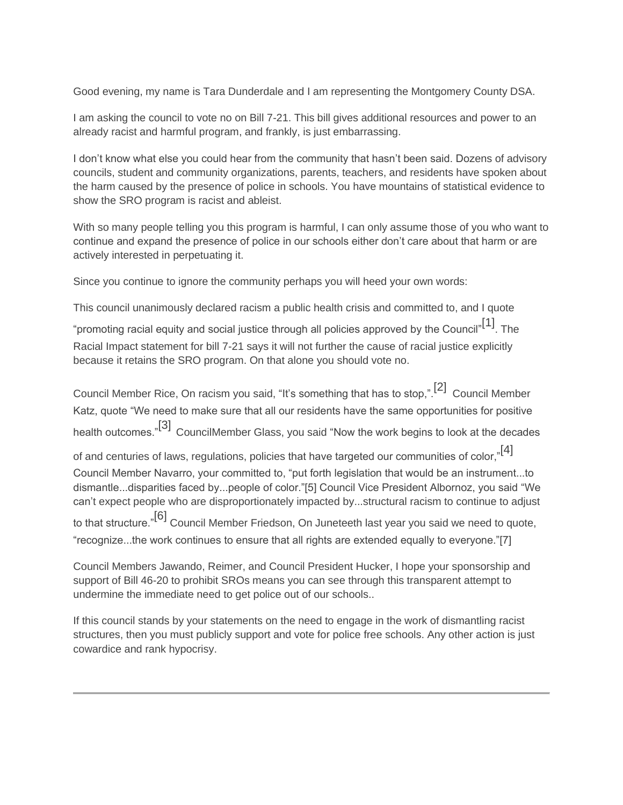Good evening, my name is Tara Dunderdale and I am representing the Montgomery County DSA.

I am asking the council to vote no on Bill 7-21. This bill gives additional resources and power to an already racist and harmful program, and frankly, is just embarrassing.

I don't know what else you could hear from the community that hasn't been said. Dozens of advisory councils, student and community organizations, parents, teachers, and residents have spoken about the harm caused by the presence of police in schools. You have mountains of statistical evidence to show the SRO program is racist and ableist.

With so many people telling you this program is harmful, I can only assume those of you who want to continue and expand the presence of police in our schools either don't care about that harm or are actively interested in perpetuating it.

Since you continue to ignore the community perhaps you will heed your own words:

This council unanimously declared racism a public health crisis and committed to, and I quote

"promoting racial equity and social justice through all policies approved by the Council" $^{\lceil 1 \rceil}$ . The Racial Impact statement for bill 7-21 says it will not further the cause of racial justice explicitly because it retains the SRO program. On that alone you should vote no.

Council Member Rice, On racism you said, "It's something that has to stop,". $^{[2]}$  Council Member Katz, quote "We need to make sure that all our residents have the same opportunities for positive health outcomes."[3] CouncilMember Glass, you said "Now the work begins to look at the decades of and centuries of laws, regulations, policies that have targeted our communities of color,"[4] Council Member Navarro, your committed to, "put forth legislation that would be an instrument...to dismantle...disparities faced by...people of color."[5] Council Vice President Albornoz, you said "We can't expect people who are disproportionately impacted by...structural racism to continue to adjust to that structure."[6] Council Member Friedson, On Juneteeth last year you said we need to quote,

"recognize...the work continues to ensure that all rights are extended equally to everyone."[7]

Council Members Jawando, Reimer, and Council President Hucker, I hope your sponsorship and support of Bill 46-20 to prohibit SROs means you can see through this transparent attempt to undermine the immediate need to get police out of our schools..

If this council stands by your statements on the need to engage in the work of dismantling racist structures, then you must publicly support and vote for police free schools. Any other action is just cowardice and rank hypocrisy.